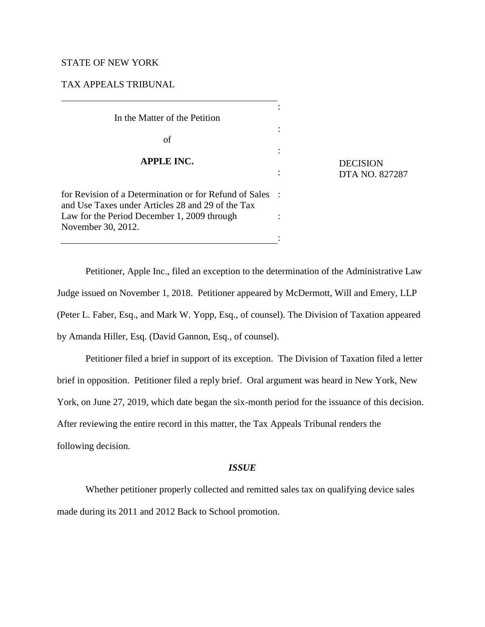### STATE OF NEW YORK

# TAX APPEALS TRIBUNAL

| In the Matter of the Petition                                                                               |  |
|-------------------------------------------------------------------------------------------------------------|--|
| of                                                                                                          |  |
| <b>APPLE INC.</b>                                                                                           |  |
|                                                                                                             |  |
| for Revision of a Determination or for Refund of Sales<br>and Use Taxes under Articles 28 and 29 of the Tax |  |
| Law for the Period December 1, 2009 through<br>November 30, 2012.                                           |  |
|                                                                                                             |  |

**DECISION** DTA NO. 827287

Petitioner, Apple Inc., filed an exception to the determination of the Administrative Law Judge issued on November 1, 2018. Petitioner appeared by McDermott, Will and Emery, LLP (Peter L. Faber, Esq., and Mark W. Yopp, Esq., of counsel). The Division of Taxation appeared by Amanda Hiller, Esq. (David Gannon, Esq., of counsel).

Petitioner filed a brief in support of its exception. The Division of Taxation filed a letter brief in opposition. Petitioner filed a reply brief. Oral argument was heard in New York, New York, on June 27, 2019, which date began the six-month period for the issuance of this decision. After reviewing the entire record in this matter, the Tax Appeals Tribunal renders the following decision.

## *ISSUE*

Whether petitioner properly collected and remitted sales tax on qualifying device sales made during its 2011 and 2012 Back to School promotion.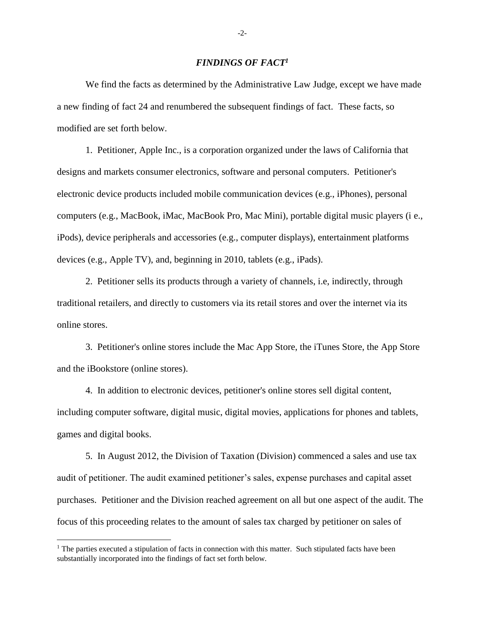## *FINDINGS OF FACT 1*

We find the facts as determined by the Administrative Law Judge, except we have made a new finding of fact 24 and renumbered the subsequent findings of fact. These facts, so modified are set forth below.

1. Petitioner, Apple Inc., is a corporation organized under the laws of California that designs and markets consumer electronics, software and personal computers. Petitioner's electronic device products included mobile communication devices (e.g., iPhones), personal computers (e.g., MacBook, iMac, MacBook Pro, Mac Mini), portable digital music players (i e., iPods), device peripherals and accessories (e.g., computer displays), entertainment platforms devices (e.g., Apple TV), and, beginning in 2010, tablets (e.g., iPads).

2. Petitioner sells its products through a variety of channels, i.e, indirectly, through traditional retailers, and directly to customers via its retail stores and over the internet via its online stores.

3. Petitioner's online stores include the Mac App Store, the iTunes Store, the App Store and the iBookstore (online stores).

4. In addition to electronic devices, petitioner's online stores sell digital content, including computer software, digital music, digital movies, applications for phones and tablets, games and digital books.

5. In August 2012, the Division of Taxation (Division) commenced a sales and use tax audit of petitioner. The audit examined petitioner's sales, expense purchases and capital asset purchases. Petitioner and the Division reached agreement on all but one aspect of the audit. The focus of this proceeding relates to the amount of sales tax charged by petitioner on sales of

l

-2-

<sup>&</sup>lt;sup>1</sup> The parties executed a stipulation of facts in connection with this matter. Such stipulated facts have been substantially incorporated into the findings of fact set forth below.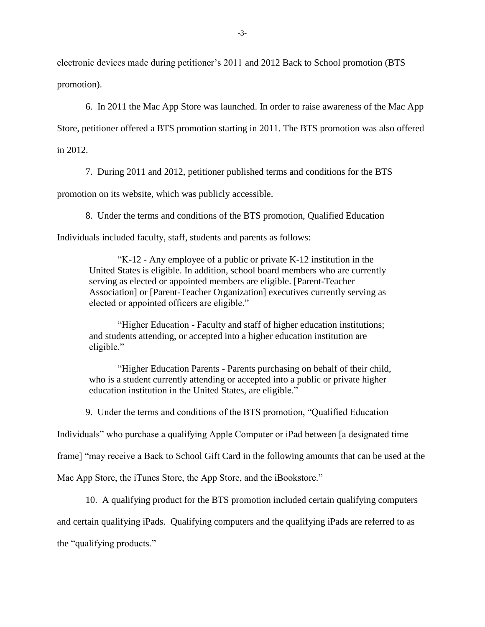electronic devices made during petitioner's 2011 and 2012 Back to School promotion (BTS promotion).

6. In 2011 the Mac App Store was launched. In order to raise awareness of the Mac App

Store, petitioner offered a BTS promotion starting in 2011. The BTS promotion was also offered in 2012.

7. During 2011 and 2012, petitioner published terms and conditions for the BTS

promotion on its website, which was publicly accessible.

8. Under the terms and conditions of the BTS promotion, Qualified Education

Individuals included faculty, staff, students and parents as follows:

"K-12 - Any employee of a public or private K-12 institution in the United States is eligible. In addition, school board members who are currently serving as elected or appointed members are eligible. [Parent-Teacher Association] or [Parent-Teacher Organization] executives currently serving as elected or appointed officers are eligible."

"Higher Education - Faculty and staff of higher education institutions; and students attending, or accepted into a higher education institution are eligible."

"Higher Education Parents - Parents purchasing on behalf of their child, who is a student currently attending or accepted into a public or private higher education institution in the United States, are eligible."

9. Under the terms and conditions of the BTS promotion, "Qualified Education

Individuals" who purchase a qualifying Apple Computer or iPad between [a designated time

frame] "may receive a Back to School Gift Card in the following amounts that can be used at the

Mac App Store, the iTunes Store, the App Store, and the iBookstore."

10. A qualifying product for the BTS promotion included certain qualifying computers and certain qualifying iPads. Qualifying computers and the qualifying iPads are referred to as the "qualifying products."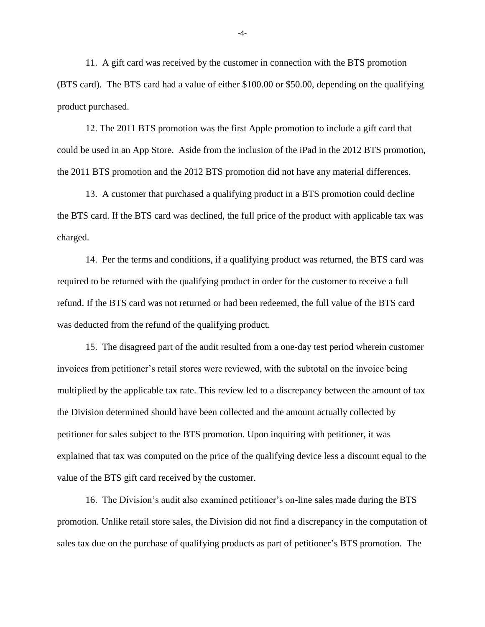11. A gift card was received by the customer in connection with the BTS promotion (BTS card). The BTS card had a value of either \$100.00 or \$50.00, depending on the qualifying product purchased.

12. The 2011 BTS promotion was the first Apple promotion to include a gift card that could be used in an App Store. Aside from the inclusion of the iPad in the 2012 BTS promotion, the 2011 BTS promotion and the 2012 BTS promotion did not have any material differences.

13. A customer that purchased a qualifying product in a BTS promotion could decline the BTS card. If the BTS card was declined, the full price of the product with applicable tax was charged.

14. Per the terms and conditions, if a qualifying product was returned, the BTS card was required to be returned with the qualifying product in order for the customer to receive a full refund. If the BTS card was not returned or had been redeemed, the full value of the BTS card was deducted from the refund of the qualifying product.

15. The disagreed part of the audit resulted from a one-day test period wherein customer invoices from petitioner's retail stores were reviewed, with the subtotal on the invoice being multiplied by the applicable tax rate. This review led to a discrepancy between the amount of tax the Division determined should have been collected and the amount actually collected by petitioner for sales subject to the BTS promotion. Upon inquiring with petitioner, it was explained that tax was computed on the price of the qualifying device less a discount equal to the value of the BTS gift card received by the customer.

16. The Division's audit also examined petitioner's on-line sales made during the BTS promotion. Unlike retail store sales, the Division did not find a discrepancy in the computation of sales tax due on the purchase of qualifying products as part of petitioner's BTS promotion. The

-4-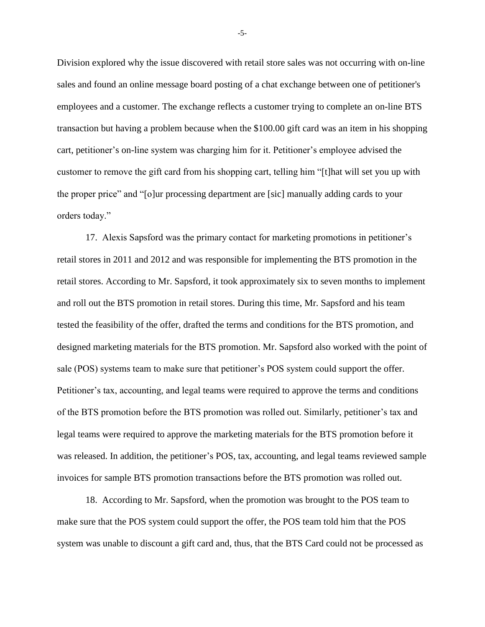Division explored why the issue discovered with retail store sales was not occurring with on-line sales and found an online message board posting of a chat exchange between one of petitioner's employees and a customer. The exchange reflects a customer trying to complete an on-line BTS transaction but having a problem because when the \$100.00 gift card was an item in his shopping cart, petitioner's on-line system was charging him for it. Petitioner's employee advised the customer to remove the gift card from his shopping cart, telling him "[t]hat will set you up with the proper price" and "[o]ur processing department are [sic] manually adding cards to your orders today."

17. Alexis Sapsford was the primary contact for marketing promotions in petitioner's retail stores in 2011 and 2012 and was responsible for implementing the BTS promotion in the retail stores. According to Mr. Sapsford, it took approximately six to seven months to implement and roll out the BTS promotion in retail stores. During this time, Mr. Sapsford and his team tested the feasibility of the offer, drafted the terms and conditions for the BTS promotion, and designed marketing materials for the BTS promotion. Mr. Sapsford also worked with the point of sale (POS) systems team to make sure that petitioner's POS system could support the offer. Petitioner's tax, accounting, and legal teams were required to approve the terms and conditions of the BTS promotion before the BTS promotion was rolled out. Similarly, petitioner's tax and legal teams were required to approve the marketing materials for the BTS promotion before it was released. In addition, the petitioner's POS, tax, accounting, and legal teams reviewed sample invoices for sample BTS promotion transactions before the BTS promotion was rolled out.

18. According to Mr. Sapsford, when the promotion was brought to the POS team to make sure that the POS system could support the offer, the POS team told him that the POS system was unable to discount a gift card and, thus, that the BTS Card could not be processed as

-5-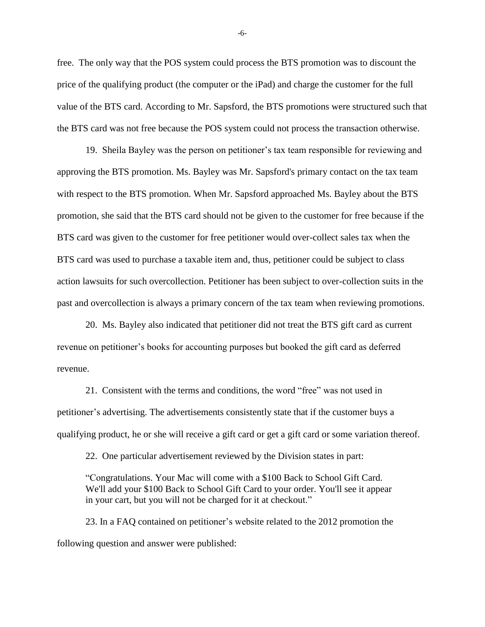free. The only way that the POS system could process the BTS promotion was to discount the price of the qualifying product (the computer or the iPad) and charge the customer for the full value of the BTS card. According to Mr. Sapsford, the BTS promotions were structured such that the BTS card was not free because the POS system could not process the transaction otherwise.

19. Sheila Bayley was the person on petitioner's tax team responsible for reviewing and approving the BTS promotion. Ms. Bayley was Mr. Sapsford's primary contact on the tax team with respect to the BTS promotion. When Mr. Sapsford approached Ms. Bayley about the BTS promotion, she said that the BTS card should not be given to the customer for free because if the BTS card was given to the customer for free petitioner would over-collect sales tax when the BTS card was used to purchase a taxable item and, thus, petitioner could be subject to class action lawsuits for such overcollection. Petitioner has been subject to over-collection suits in the past and overcollection is always a primary concern of the tax team when reviewing promotions.

20. Ms. Bayley also indicated that petitioner did not treat the BTS gift card as current revenue on petitioner's books for accounting purposes but booked the gift card as deferred revenue.

21. Consistent with the terms and conditions, the word "free" was not used in petitioner's advertising. The advertisements consistently state that if the customer buys a qualifying product, he or she will receive a gift card or get a gift card or some variation thereof.

22. One particular advertisement reviewed by the Division states in part:

"Congratulations. Your Mac will come with a \$100 Back to School Gift Card. We'll add your \$100 Back to School Gift Card to your order. You'll see it appear in your cart, but you will not be charged for it at checkout."

23. In a FAQ contained on petitioner's website related to the 2012 promotion the following question and answer were published:

-6-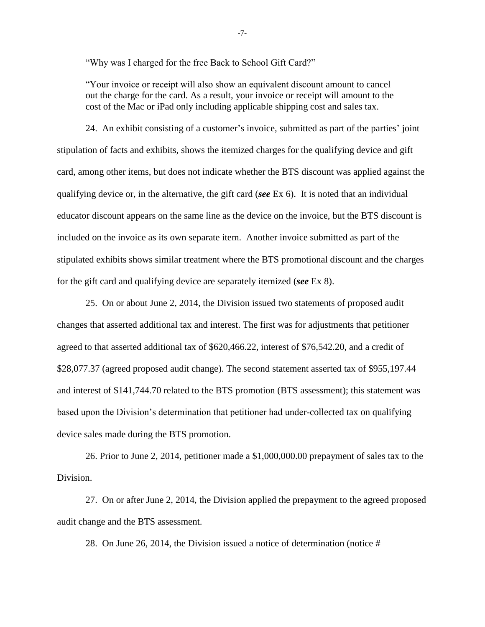"Why was I charged for the free Back to School Gift Card?"

"Your invoice or receipt will also show an equivalent discount amount to cancel out the charge for the card. As a result, your invoice or receipt will amount to the cost of the Mac or iPad only including applicable shipping cost and sales tax.

24. An exhibit consisting of a customer's invoice, submitted as part of the parties' joint stipulation of facts and exhibits, shows the itemized charges for the qualifying device and gift card, among other items, but does not indicate whether the BTS discount was applied against the qualifying device or, in the alternative, the gift card (*see* Ex 6). It is noted that an individual educator discount appears on the same line as the device on the invoice, but the BTS discount is included on the invoice as its own separate item. Another invoice submitted as part of the stipulated exhibits shows similar treatment where the BTS promotional discount and the charges for the gift card and qualifying device are separately itemized (*see* Ex 8).

25. On or about June 2, 2014, the Division issued two statements of proposed audit changes that asserted additional tax and interest. The first was for adjustments that petitioner agreed to that asserted additional tax of \$620,466.22, interest of \$76,542.20, and a credit of \$28,077.37 (agreed proposed audit change). The second statement asserted tax of \$955,197.44 and interest of \$141,744.70 related to the BTS promotion (BTS assessment); this statement was based upon the Division's determination that petitioner had under-collected tax on qualifying device sales made during the BTS promotion.

26. Prior to June 2, 2014, petitioner made a \$1,000,000.00 prepayment of sales tax to the Division.

27. On or after June 2, 2014, the Division applied the prepayment to the agreed proposed audit change and the BTS assessment.

28. On June 26, 2014, the Division issued a notice of determination (notice #

-7-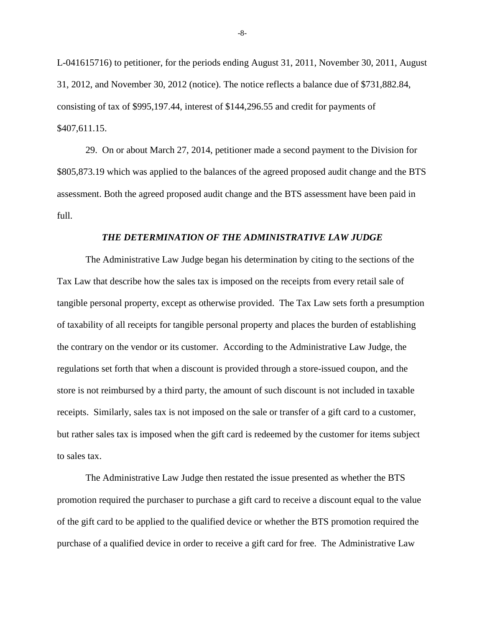L-041615716) to petitioner, for the periods ending August 31, 2011, November 30, 2011, August 31, 2012, and November 30, 2012 (notice). The notice reflects a balance due of \$731,882.84, consisting of tax of \$995,197.44, interest of \$144,296.55 and credit for payments of \$407,611.15.

29. On or about March 27, 2014, petitioner made a second payment to the Division for \$805,873.19 which was applied to the balances of the agreed proposed audit change and the BTS assessment. Both the agreed proposed audit change and the BTS assessment have been paid in full.

#### *THE DETERMINATION OF THE ADMINISTRATIVE LAW JUDGE*

The Administrative Law Judge began his determination by citing to the sections of the Tax Law that describe how the sales tax is imposed on the receipts from every retail sale of tangible personal property, except as otherwise provided. The Tax Law sets forth a presumption of taxability of all receipts for tangible personal property and places the burden of establishing the contrary on the vendor or its customer. According to the Administrative Law Judge, the regulations set forth that when a discount is provided through a store-issued coupon, and the store is not reimbursed by a third party, the amount of such discount is not included in taxable receipts. Similarly, sales tax is not imposed on the sale or transfer of a gift card to a customer, but rather sales tax is imposed when the gift card is redeemed by the customer for items subject to sales tax.

The Administrative Law Judge then restated the issue presented as whether the BTS promotion required the purchaser to purchase a gift card to receive a discount equal to the value of the gift card to be applied to the qualified device or whether the BTS promotion required the purchase of a qualified device in order to receive a gift card for free. The Administrative Law

-8-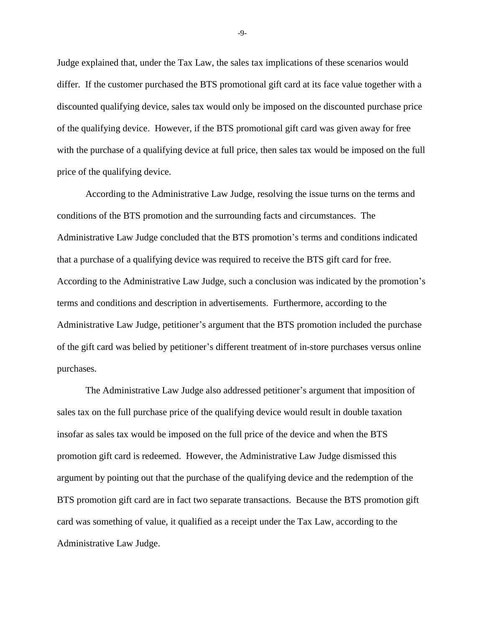Judge explained that, under the Tax Law, the sales tax implications of these scenarios would differ. If the customer purchased the BTS promotional gift card at its face value together with a discounted qualifying device, sales tax would only be imposed on the discounted purchase price of the qualifying device. However, if the BTS promotional gift card was given away for free with the purchase of a qualifying device at full price, then sales tax would be imposed on the full price of the qualifying device.

According to the Administrative Law Judge, resolving the issue turns on the terms and conditions of the BTS promotion and the surrounding facts and circumstances. The Administrative Law Judge concluded that the BTS promotion's terms and conditions indicated that a purchase of a qualifying device was required to receive the BTS gift card for free. According to the Administrative Law Judge, such a conclusion was indicated by the promotion's terms and conditions and description in advertisements. Furthermore, according to the Administrative Law Judge, petitioner's argument that the BTS promotion included the purchase of the gift card was belied by petitioner's different treatment of in-store purchases versus online purchases.

The Administrative Law Judge also addressed petitioner's argument that imposition of sales tax on the full purchase price of the qualifying device would result in double taxation insofar as sales tax would be imposed on the full price of the device and when the BTS promotion gift card is redeemed. However, the Administrative Law Judge dismissed this argument by pointing out that the purchase of the qualifying device and the redemption of the BTS promotion gift card are in fact two separate transactions. Because the BTS promotion gift card was something of value, it qualified as a receipt under the Tax Law, according to the Administrative Law Judge.

-9-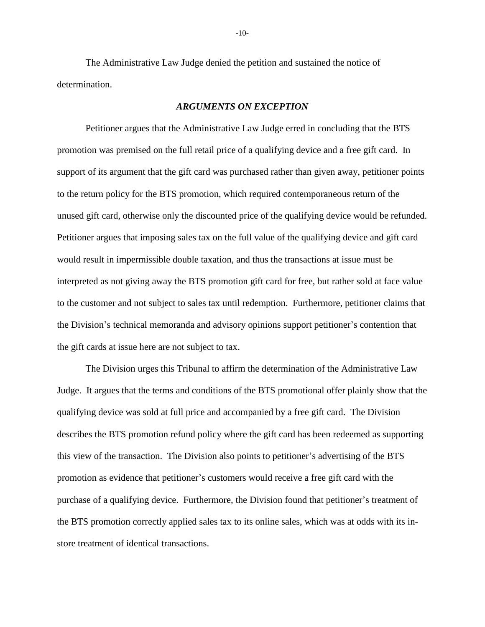The Administrative Law Judge denied the petition and sustained the notice of determination.

#### *ARGUMENTS ON EXCEPTION*

Petitioner argues that the Administrative Law Judge erred in concluding that the BTS promotion was premised on the full retail price of a qualifying device and a free gift card. In support of its argument that the gift card was purchased rather than given away, petitioner points to the return policy for the BTS promotion, which required contemporaneous return of the unused gift card, otherwise only the discounted price of the qualifying device would be refunded. Petitioner argues that imposing sales tax on the full value of the qualifying device and gift card would result in impermissible double taxation, and thus the transactions at issue must be interpreted as not giving away the BTS promotion gift card for free, but rather sold at face value to the customer and not subject to sales tax until redemption. Furthermore, petitioner claims that the Division's technical memoranda and advisory opinions support petitioner's contention that the gift cards at issue here are not subject to tax.

The Division urges this Tribunal to affirm the determination of the Administrative Law Judge. It argues that the terms and conditions of the BTS promotional offer plainly show that the qualifying device was sold at full price and accompanied by a free gift card. The Division describes the BTS promotion refund policy where the gift card has been redeemed as supporting this view of the transaction. The Division also points to petitioner's advertising of the BTS promotion as evidence that petitioner's customers would receive a free gift card with the purchase of a qualifying device. Furthermore, the Division found that petitioner's treatment of the BTS promotion correctly applied sales tax to its online sales, which was at odds with its instore treatment of identical transactions.

-10-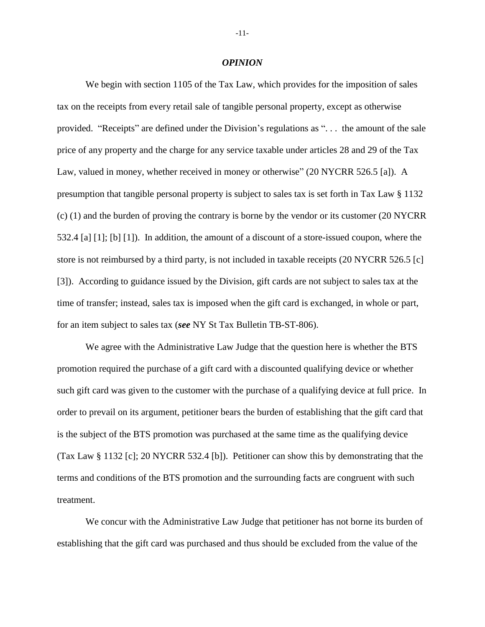#### *OPINION*

We begin with section 1105 of the Tax Law, which provides for the imposition of sales tax on the receipts from every retail sale of tangible personal property, except as otherwise provided. "Receipts" are defined under the Division's regulations as ". . . the amount of the sale price of any property and the charge for any service taxable under articles 28 and 29 of the Tax Law, valued in money, whether received in money or otherwise" (20 NYCRR 526.5 [a]). A presumption that tangible personal property is subject to sales tax is set forth in Tax Law § 1132 (c) (1) and the burden of proving the contrary is borne by the vendor or its customer (20 NYCRR 532.4 [a] [1]; [b] [1]). In addition, the amount of a discount of a store-issued coupon, where the store is not reimbursed by a third party, is not included in taxable receipts (20 NYCRR 526.5 [c] [3]). According to guidance issued by the Division, gift cards are not subject to sales tax at the time of transfer; instead, sales tax is imposed when the gift card is exchanged, in whole or part, for an item subject to sales tax (*see* NY St Tax Bulletin TB-ST-806).

We agree with the Administrative Law Judge that the question here is whether the BTS promotion required the purchase of a gift card with a discounted qualifying device or whether such gift card was given to the customer with the purchase of a qualifying device at full price. In order to prevail on its argument, petitioner bears the burden of establishing that the gift card that is the subject of the BTS promotion was purchased at the same time as the qualifying device (Tax Law § 1132 [c]; 20 NYCRR 532.4 [b]). Petitioner can show this by demonstrating that the terms and conditions of the BTS promotion and the surrounding facts are congruent with such treatment.

We concur with the Administrative Law Judge that petitioner has not borne its burden of establishing that the gift card was purchased and thus should be excluded from the value of the

-11-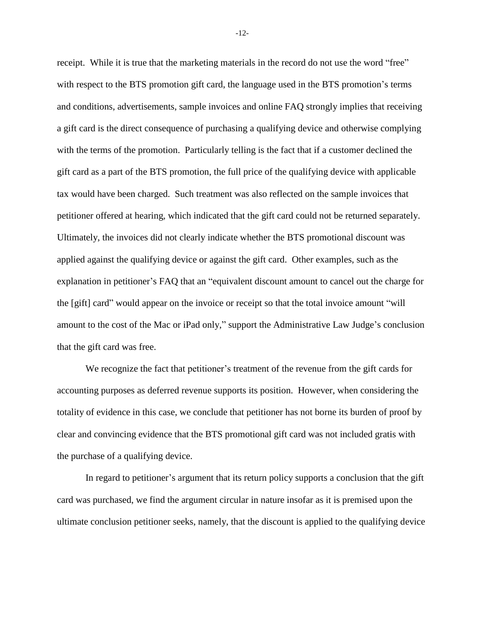receipt. While it is true that the marketing materials in the record do not use the word "free" with respect to the BTS promotion gift card, the language used in the BTS promotion's terms and conditions, advertisements, sample invoices and online FAQ strongly implies that receiving a gift card is the direct consequence of purchasing a qualifying device and otherwise complying with the terms of the promotion. Particularly telling is the fact that if a customer declined the gift card as a part of the BTS promotion, the full price of the qualifying device with applicable tax would have been charged. Such treatment was also reflected on the sample invoices that petitioner offered at hearing, which indicated that the gift card could not be returned separately. Ultimately, the invoices did not clearly indicate whether the BTS promotional discount was applied against the qualifying device or against the gift card. Other examples, such as the explanation in petitioner's FAQ that an "equivalent discount amount to cancel out the charge for the [gift] card" would appear on the invoice or receipt so that the total invoice amount "will amount to the cost of the Mac or iPad only," support the Administrative Law Judge's conclusion that the gift card was free.

We recognize the fact that petitioner's treatment of the revenue from the gift cards for accounting purposes as deferred revenue supports its position. However, when considering the totality of evidence in this case, we conclude that petitioner has not borne its burden of proof by clear and convincing evidence that the BTS promotional gift card was not included gratis with the purchase of a qualifying device.

In regard to petitioner's argument that its return policy supports a conclusion that the gift card was purchased, we find the argument circular in nature insofar as it is premised upon the ultimate conclusion petitioner seeks, namely, that the discount is applied to the qualifying device

-12-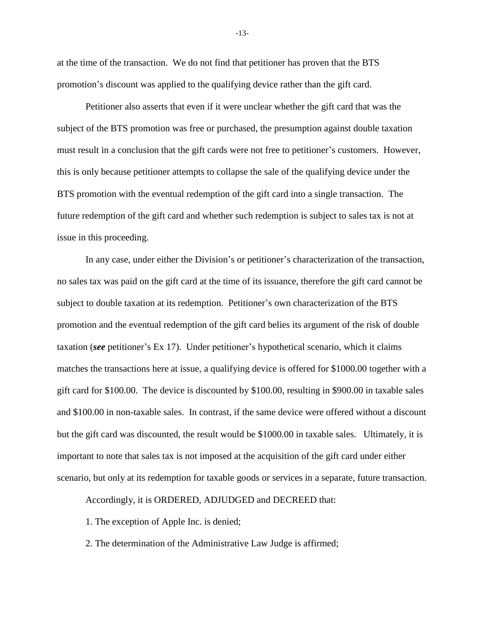at the time of the transaction. We do not find that petitioner has proven that the BTS promotion's discount was applied to the qualifying device rather than the gift card.

Petitioner also asserts that even if it were unclear whether the gift card that was the subject of the BTS promotion was free or purchased, the presumption against double taxation must result in a conclusion that the gift cards were not free to petitioner's customers. However, this is only because petitioner attempts to collapse the sale of the qualifying device under the BTS promotion with the eventual redemption of the gift card into a single transaction. The future redemption of the gift card and whether such redemption is subject to sales tax is not at issue in this proceeding.

In any case, under either the Division's or petitioner's characterization of the transaction, no sales tax was paid on the gift card at the time of its issuance, therefore the gift card cannot be subject to double taxation at its redemption. Petitioner's own characterization of the BTS promotion and the eventual redemption of the gift card belies its argument of the risk of double taxation (*see* petitioner's Ex 17). Under petitioner's hypothetical scenario, which it claims matches the transactions here at issue, a qualifying device is offered for \$1000.00 together with a gift card for \$100.00. The device is discounted by \$100.00, resulting in \$900.00 in taxable sales and \$100.00 in non-taxable sales. In contrast, if the same device were offered without a discount but the gift card was discounted, the result would be \$1000.00 in taxable sales. Ultimately, it is important to note that sales tax is not imposed at the acquisition of the gift card under either scenario, but only at its redemption for taxable goods or services in a separate, future transaction.

Accordingly, it is ORDERED, ADJUDGED and DECREED that:

1. The exception of Apple Inc. is denied;

2. The determination of the Administrative Law Judge is affirmed;

-13-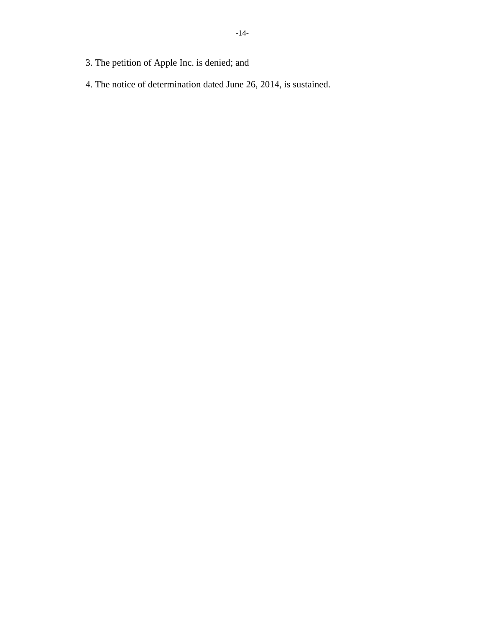- 3. The petition of Apple Inc. is denied; and
- 4. The notice of determination dated June 26, 2014, is sustained.